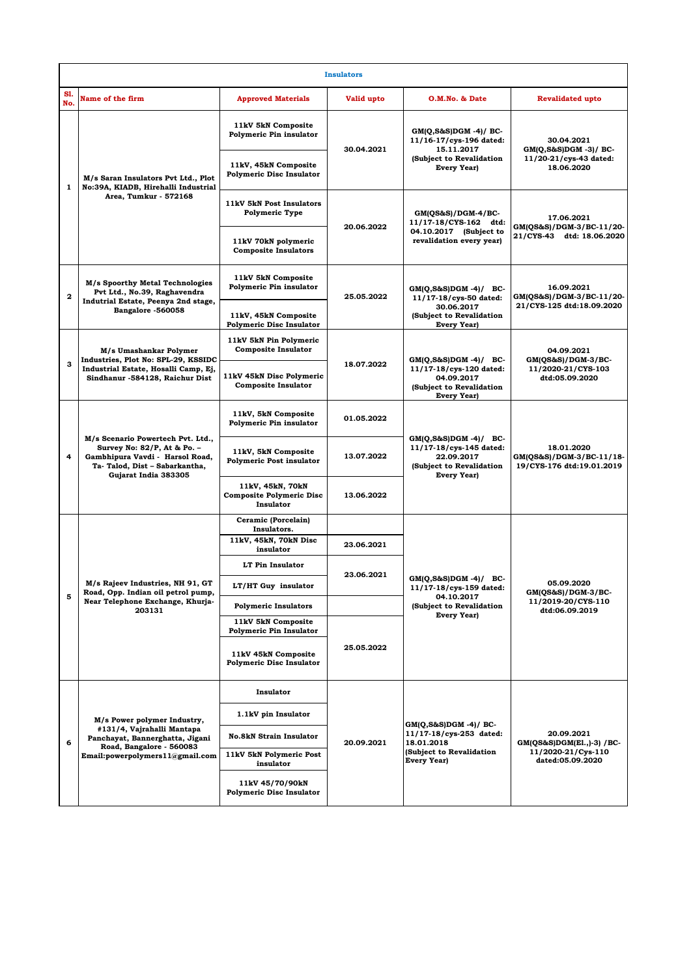| <b>Insulators</b> |                                                                                                                                                              |                                                                                                          |            |                                                                                                                         |                                                                                    |  |  |  |  |
|-------------------|--------------------------------------------------------------------------------------------------------------------------------------------------------------|----------------------------------------------------------------------------------------------------------|------------|-------------------------------------------------------------------------------------------------------------------------|------------------------------------------------------------------------------------|--|--|--|--|
| S1.<br>No.        | Name of the firm                                                                                                                                             | <b>Approved Materials</b>                                                                                | Valid upto | O.M.No. & Date                                                                                                          | <b>Revalidated upto</b>                                                            |  |  |  |  |
| $\mathbf{1}$      | M/s Saran Insulators Pvt Ltd., Plot<br>No:39A, KIADB, Hirehalli Industrial<br>Area, Tumkur - 572168                                                          | 11kV 5kN Composite<br>Polymeric Pin insulator<br>11kV, 45kN Composite<br><b>Polymeric Disc Insulator</b> | 30.04.2021 | $GM(Q, S\&S)DGM -4)/BC$<br>11/16-17/cys-196 dated:<br>15.11.2017<br>(Subject to Revalidation<br><b>Every Year)</b>      | 30.04.2021<br>$GM(Q, S\&S)DGM - 3$ )/ BC-<br>11/20-21/cys-43 dated:<br>18.06.2020  |  |  |  |  |
|                   |                                                                                                                                                              | 11kV 5kN Post Insulators<br><b>Polymeric Type</b>                                                        | 20.06.2022 | $GM(QS&S)/DGM-4/BC$<br>11/17-18/CYS-162 dtd:<br>04.10.2017 (Subject to<br>revalidation every year)                      | 17.06.2021<br>GM(OS&S)/DGM-3/BC-11/20-<br>21/CYS-43 dtd: 18.06.2020                |  |  |  |  |
|                   |                                                                                                                                                              | 11kV 70kN polymeric<br><b>Composite Insulators</b>                                                       |            |                                                                                                                         |                                                                                    |  |  |  |  |
| $\mathbf 2$       | M/s Spoorthy Metal Technologies<br>Pvt Ltd., No.39, Raghavendra<br>Indutrial Estate, Peenya 2nd stage,<br>Bangalore -560058                                  | 11kV 5kN Composite<br>Polymeric Pin insulator                                                            | 25.05.2022 | $GM(Q, S\&S)DGM - 4$ ) / BC-<br>11/17-18/cys-50 dated:<br>30.06.2017<br>(Subject to Revalidation<br><b>Every Year)</b>  | 16.09.2021<br>GM(QS&S)/DGM-3/BC-11/20-<br>21/CYS-125 dtd:18.09.2020                |  |  |  |  |
|                   |                                                                                                                                                              | 11kV, 45kN Composite<br><b>Polymeric Disc Insulator</b>                                                  |            |                                                                                                                         |                                                                                    |  |  |  |  |
| 3                 | M/s Umashankar Polymer<br>Industries, Plot No: SPL-29, KSSIDC<br>Industrial Estate, Hosalli Camp, Ej,<br>Sindhanur -584128, Raichur Dist                     | 11kV 5kN Pin Polymeric<br><b>Composite Insulator</b>                                                     |            | $GM(Q, S\&S)DGM -4)/BC$<br>11/17-18/cys-120 dated:<br>04.09.2017<br>(Subject to Revalidation<br><b>Every Year)</b>      | 04.09.2021<br>$GM(QS&S)/DGM-3/BC-$<br>11/2020-21/CYS-103<br>dtd:05.09.2020         |  |  |  |  |
|                   |                                                                                                                                                              | 11kV 45kN Disc Polymeric<br><b>Composite Insulator</b>                                                   | 18.07.2022 |                                                                                                                         |                                                                                    |  |  |  |  |
| 4                 | M/s Scenario Powertech Pvt. Ltd.,<br>Survey No: 82/P, At & Po. -<br>Gambhipura Vavdi - Harsol Road,<br>Ta-Talod, Dist - Sabarkantha,<br>Gujarat India 383305 | 11kV, 5kN Composite<br>Polymeric Pin insulator                                                           | 01.05.2022 | $GM(Q, S\&S)DGM - 4$ ) / BC-<br>11/17-18/cys-145 dated:<br>22.09.2017<br>(Subject to Revalidation<br><b>Every Year)</b> | 18.01.2020<br>GM(QS&S)/DGM-3/BC-11/18-<br>19/CYS-176 dtd:19.01.2019                |  |  |  |  |
|                   |                                                                                                                                                              | 11kV, 5kN Composite<br><b>Polymeric Post insulator</b>                                                   | 13.07.2022 |                                                                                                                         |                                                                                    |  |  |  |  |
|                   |                                                                                                                                                              | 11kV, 45kN, 70kN<br><b>Composite Polymeric Disc</b><br>Insulator                                         | 13.06.2022 |                                                                                                                         |                                                                                    |  |  |  |  |
| 5                 | M/s Rajeev Industries, NH 91, GT<br>Road, Opp. Indian oil petrol pump,<br>Near Telephone Exchange, Khurja-<br>203131                                         | Ceramic (Porcelain)<br>Insulators.                                                                       |            | $GM(Q, S\&S)DGM -4)/BC$<br>11/17-18/cys-159 dated:<br>04.10.2017<br>(Subject to Revalidation<br>Every Year)             | 05.09.2020<br>GM(QS&S)/DGM-3/BC-<br>11/2019-20/CYS-110<br>dtd:06.09.2019           |  |  |  |  |
|                   |                                                                                                                                                              | 11kV, 45kN, 70kN Disc<br>insulator                                                                       | 23.06.2021 |                                                                                                                         |                                                                                    |  |  |  |  |
|                   |                                                                                                                                                              | LT Pin Insulator                                                                                         | 23.06.2021 |                                                                                                                         |                                                                                    |  |  |  |  |
|                   |                                                                                                                                                              | LT/HT Guy insulator                                                                                      |            |                                                                                                                         |                                                                                    |  |  |  |  |
|                   |                                                                                                                                                              | <b>Polymeric Insulators</b>                                                                              |            |                                                                                                                         |                                                                                    |  |  |  |  |
|                   |                                                                                                                                                              | 11kV 5kN Composite<br><b>Polymeric Pin Insulator</b>                                                     | 25.05.2022 |                                                                                                                         |                                                                                    |  |  |  |  |
|                   |                                                                                                                                                              | 11kV 45kN Composite<br><b>Polymeric Disc Insulator</b>                                                   |            |                                                                                                                         |                                                                                    |  |  |  |  |
| 6                 | M/s Power polymer Industry,<br>#131/4, Vajrahalli Mantapa<br>Panchayat, Bannerghatta, Jigani<br>Road, Bangalore - 560083<br>Email:powerpolymers11@gmail.com  | Insulator                                                                                                | 20.09.2021 | $GM(Q, S\&S)DGM -4)/BC$<br>11/17-18/cys-253 dated:<br>18.01.2018<br>(Subject to Revalidation<br><b>Every Year)</b>      | 20.09.2021<br>$GM(QS&S)DGM(E1.,-3) / BC$<br>11/2020-21/Cys-110<br>dated:05.09.2020 |  |  |  |  |
|                   |                                                                                                                                                              | 1.1kV pin Insulator                                                                                      |            |                                                                                                                         |                                                                                    |  |  |  |  |
|                   |                                                                                                                                                              | <b>No.8kN Strain Insulator</b>                                                                           |            |                                                                                                                         |                                                                                    |  |  |  |  |
|                   |                                                                                                                                                              | 11kV 5kN Polymeric Post<br>insulator                                                                     |            |                                                                                                                         |                                                                                    |  |  |  |  |
|                   |                                                                                                                                                              | 11kV 45/70/90kN<br><b>Polymeric Disc Insulator</b>                                                       |            |                                                                                                                         |                                                                                    |  |  |  |  |